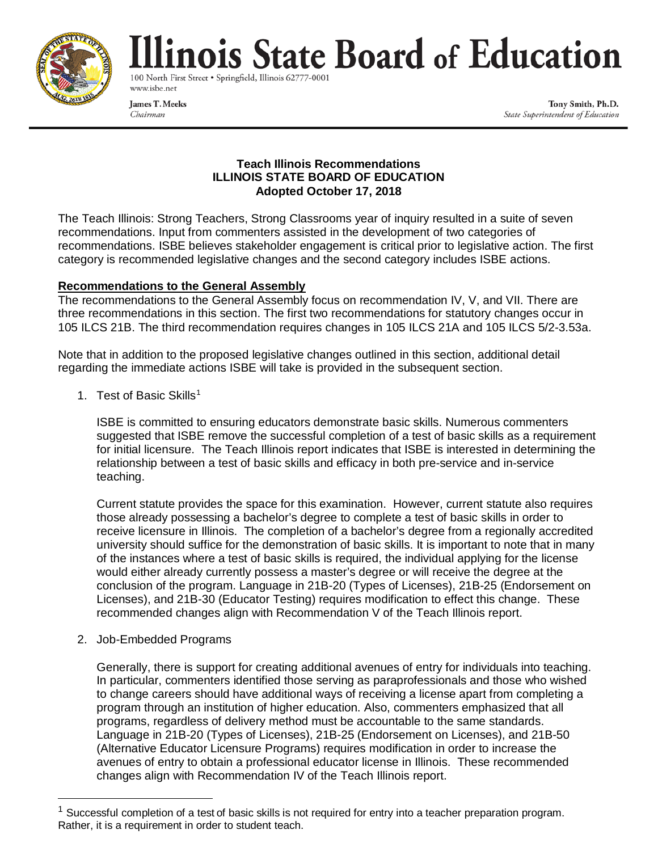

# linois State Board of Education

100 North First Street . Springfield, Illinois 62777-000 www.isbe.net

**James T. Meeks** Chairman

Tony Smith, Ph.D. State Superintendent of Education

## **Teach Illinois Recommendations ILLINOIS STATE BOARD OF EDUCATION Adopted October 17, 2018**

The Teach Illinois: Strong Teachers, Strong Classrooms year of inquiry resulted in a suite of seven recommendations. Input from commenters assisted in the development of two categories of recommendations. ISBE believes stakeholder engagement is critical prior to legislative action. The first category is recommended legislative changes and the second category includes ISBE actions.

# **Recommendations to the General Assembly**

The recommendations to the General Assembly focus on recommendation IV, V, and VII. There are three recommendations in this section. The first two recommendations for statutory changes occur in 105 ILCS 21B. The third recommendation requires changes in 105 ILCS 21A and 105 ILCS 5/2-3.53a.

Note that in addition to the proposed legislative changes outlined in this section, additional detail regarding the immediate actions ISBE will take is provided in the subsequent section.

[1](#page-0-0). Test of Basic Skills<sup>1</sup>

ISBE is committed to ensuring educators demonstrate basic skills. Numerous commenters suggested that ISBE remove the successful completion of a test of basic skills as a requirement for initial licensure. The Teach Illinois report indicates that ISBE is interested in determining the relationship between a test of basic skills and efficacy in both pre-service and in-service teaching.

Current statute provides the space for this examination. However, current statute also requires those already possessing a bachelor's degree to complete a test of basic skills in order to receive licensure in Illinois. The completion of a bachelor's degree from a regionally accredited university should suffice for the demonstration of basic skills. It is important to note that in many of the instances where a test of basic skills is required, the individual applying for the license would either already currently possess a master's degree or will receive the degree at the conclusion of the program. Language in 21B-20 (Types of Licenses), 21B-25 (Endorsement on Licenses), and 21B-30 (Educator Testing) requires modification to effect this change. These recommended changes align with Recommendation V of the Teach Illinois report.

2. Job-Embedded Programs

Generally, there is support for creating additional avenues of entry for individuals into teaching. In particular, commenters identified those serving as paraprofessionals and those who wished to change careers should have additional ways of receiving a license apart from completing a program through an institution of higher education. Also, commenters emphasized that all programs, regardless of delivery method must be accountable to the same standards. Language in 21B-20 (Types of Licenses), 21B-25 (Endorsement on Licenses), and 21B-50 (Alternative Educator Licensure Programs) requires modification in order to increase the avenues of entry to obtain a professional educator license in Illinois. These recommended changes align with Recommendation IV of the Teach Illinois report.

<span id="page-0-0"></span> $1$  Successful completion of a test of basic skills is not required for entry into a teacher preparation program. Rather, it is a requirement in order to student teach.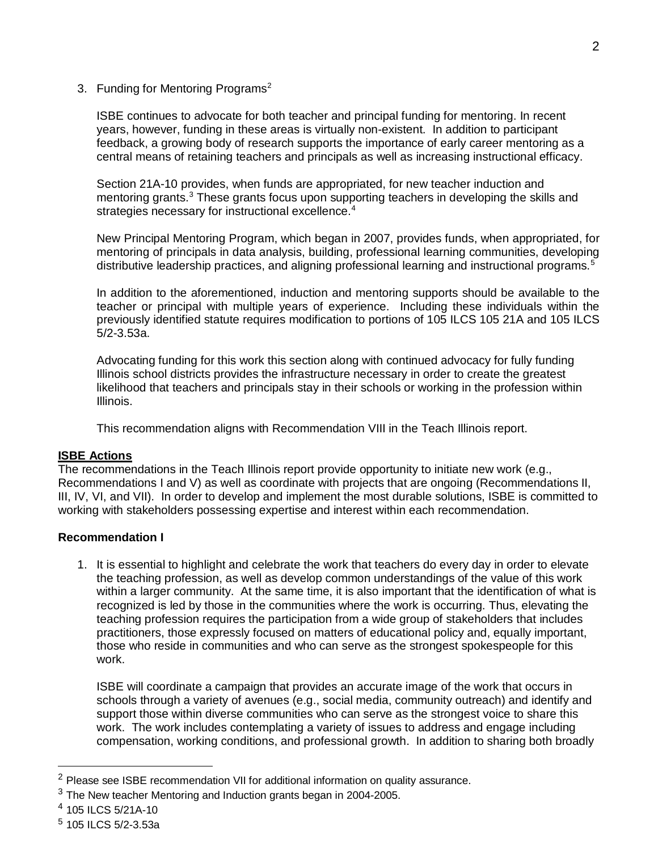#### 3. Funding for Mentoring Programs<sup>[2](#page-1-0)</sup>

ISBE continues to advocate for both teacher and principal funding for mentoring. In recent years, however, funding in these areas is virtually non-existent. In addition to participant feedback, a growing body of research supports the importance of early career mentoring as a central means of retaining teachers and principals as well as increasing instructional efficacy.

Section 21A-10 provides, when funds are appropriated, for new teacher induction and mentoring grants.<sup>[3](#page-1-1)</sup> These grants focus upon supporting teachers in developing the skills and strategies necessary for instructional excellence.<sup>[4](#page-1-2)</sup>

New Principal Mentoring Program, which began in 2007, provides funds, when appropriated, for mentoring of principals in data analysis, building, professional learning communities, developing distributive leadership practices, and aligning professional learning and instructional programs.<sup>[5](#page-1-3)</sup>

In addition to the aforementioned, induction and mentoring supports should be available to the teacher or principal with multiple years of experience. Including these individuals within the previously identified statute requires modification to portions of 105 ILCS 105 21A and 105 ILCS 5/2-3.53a.

Advocating funding for this work this section along with continued advocacy for fully funding Illinois school districts provides the infrastructure necessary in order to create the greatest likelihood that teachers and principals stay in their schools or working in the profession within Illinois.

This recommendation aligns with Recommendation VIII in the Teach Illinois report.

## **ISBE Actions**

The recommendations in the Teach Illinois report provide opportunity to initiate new work (e.g., Recommendations I and V) as well as coordinate with projects that are ongoing (Recommendations II, III, IV, VI, and VII). In order to develop and implement the most durable solutions, ISBE is committed to working with stakeholders possessing expertise and interest within each recommendation.

## **Recommendation I**

1. It is essential to highlight and celebrate the work that teachers do every day in order to elevate the teaching profession, as well as develop common understandings of the value of this work within a larger community. At the same time, it is also important that the identification of what is recognized is led by those in the communities where the work is occurring. Thus, elevating the teaching profession requires the participation from a wide group of stakeholders that includes practitioners, those expressly focused on matters of educational policy and, equally important, those who reside in communities and who can serve as the strongest spokespeople for this work.

ISBE will coordinate a campaign that provides an accurate image of the work that occurs in schools through a variety of avenues (e.g., social media, community outreach) and identify and support those within diverse communities who can serve as the strongest voice to share this work. The work includes contemplating a variety of issues to address and engage including compensation, working conditions, and professional growth. In addition to sharing both broadly

<span id="page-1-0"></span><sup>&</sup>lt;sup>2</sup> Please see ISBE recommendation VII for additional information on quality assurance.

<span id="page-1-1"></span> $3$  The New teacher Mentoring and Induction grants began in 2004-2005.

<span id="page-1-2"></span><sup>4</sup> 105 ILCS 5/21A-10

<span id="page-1-3"></span><sup>5</sup> 105 ILCS 5/2-3.53a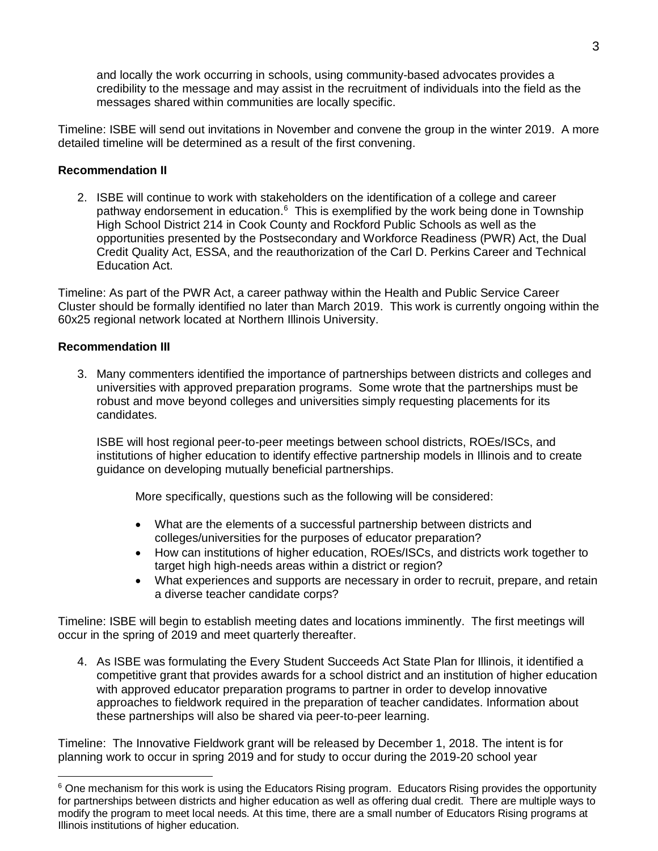and locally the work occurring in schools, using community-based advocates provides a credibility to the message and may assist in the recruitment of individuals into the field as the messages shared within communities are locally specific.

Timeline: ISBE will send out invitations in November and convene the group in the winter 2019. A more detailed timeline will be determined as a result of the first convening.

## **Recommendation II**

2. ISBE will continue to work with stakeholders on the identification of a college and career pathway endorsement in education.<sup>[6](#page-2-0)</sup> This is exemplified by the work being done in Township High School District 214 in Cook County and Rockford Public Schools as well as the opportunities presented by the Postsecondary and Workforce Readiness (PWR) Act, the Dual Credit Quality Act, ESSA, and the reauthorization of the Carl D. Perkins Career and Technical Education Act.

Timeline: As part of the PWR Act, a career pathway within the Health and Public Service Career Cluster should be formally identified no later than March 2019. This work is currently ongoing within the 60x25 regional network located at Northern Illinois University.

# **Recommendation III**

3. Many commenters identified the importance of partnerships between districts and colleges and universities with approved preparation programs. Some wrote that the partnerships must be robust and move beyond colleges and universities simply requesting placements for its candidates.

ISBE will host regional peer-to-peer meetings between school districts, ROEs/ISCs, and institutions of higher education to identify effective partnership models in Illinois and to create guidance on developing mutually beneficial partnerships.

More specifically, questions such as the following will be considered:

- What are the elements of a successful partnership between districts and colleges/universities for the purposes of educator preparation?
- How can institutions of higher education, ROEs/ISCs, and districts work together to target high high-needs areas within a district or region?
- What experiences and supports are necessary in order to recruit, prepare, and retain a diverse teacher candidate corps?

Timeline: ISBE will begin to establish meeting dates and locations imminently. The first meetings will occur in the spring of 2019 and meet quarterly thereafter.

4. As ISBE was formulating the Every Student Succeeds Act State Plan for Illinois, it identified a competitive grant that provides awards for a school district and an institution of higher education with approved educator preparation programs to partner in order to develop innovative approaches to fieldwork required in the preparation of teacher candidates. Information about these partnerships will also be shared via peer-to-peer learning.

Timeline: The Innovative Fieldwork grant will be released by December 1, 2018. The intent is for planning work to occur in spring 2019 and for study to occur during the 2019-20 school year

<span id="page-2-0"></span><sup>&</sup>lt;sup>6</sup> One mechanism for this work is using the Educators Rising program. Educators Rising provides the opportunity for partnerships between districts and higher education as well as offering dual credit. There are multiple ways to modify the program to meet local needs. At this time, there are a small number of Educators Rising programs at Illinois institutions of higher education.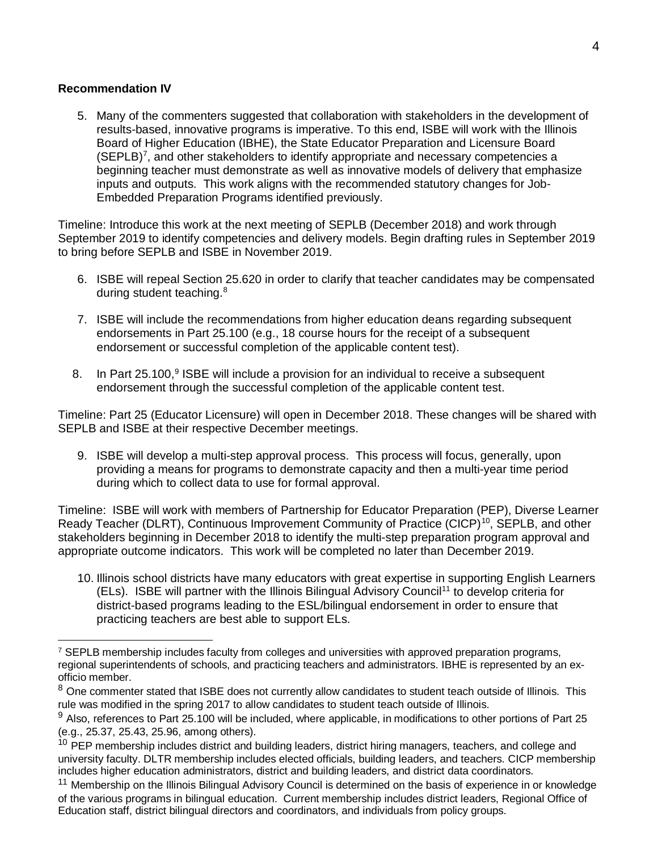## **Recommendation IV**

5. Many of the commenters suggested that collaboration with stakeholders in the development of results-based, innovative programs is imperative. To this end, ISBE will work with the Illinois Board of Higher Education (IBHE), the State Educator Preparation and Licensure Board  $(SEPLB)^7$ , and other stakeholders to identify appropriate and necessary competencies a beginning teacher must demonstrate as well as innovative models of delivery that emphasize inputs and outputs. This work aligns with the recommended statutory changes for Job-Embedded Preparation Programs identified previously.

Timeline: Introduce this work at the next meeting of SEPLB (December 2018) and work through September 2019 to identify competencies and delivery models. Begin drafting rules in September 2019 to bring before SEPLB and ISBE in November 2019.

- 6. ISBE will repeal Section 25.620 in order to clarify that teacher candidates may be compensated during student teaching.<sup>[8](#page-3-1)</sup>
- 7. ISBE will include the recommendations from higher education deans regarding subsequent endorsements in Part 25.100 (e.g., 18 course hours for the receipt of a subsequent endorsement or successful completion of the applicable content test).
- 8. In Part  $25.100<sup>9</sup>$  $25.100<sup>9</sup>$  $25.100<sup>9</sup>$  ISBE will include a provision for an individual to receive a subsequent endorsement through the successful completion of the applicable content test.

Timeline: Part 25 (Educator Licensure) will open in December 2018. These changes will be shared with SEPLB and ISBE at their respective December meetings.

9. ISBE will develop a multi-step approval process. This process will focus, generally, upon providing a means for programs to demonstrate capacity and then a multi-year time period during which to collect data to use for formal approval.

Timeline: ISBE will work with members of Partnership for Educator Preparation (PEP), Diverse Learner Ready Teacher (DLRT), Continuous Improvement Community of Practice (CICP)<sup>[10](#page-3-3)</sup>, SEPLB, and other stakeholders beginning in December 2018 to identify the multi-step preparation program approval and appropriate outcome indicators. This work will be completed no later than December 2019.

10. Illinois school districts have many educators with great expertise in supporting English Learners (ELs). ISBE will partner with the Illinois Bilingual Advisory Council<sup>11</sup> to develop criteria for district-based programs leading to the ESL/bilingual endorsement in order to ensure that practicing teachers are best able to support ELs.

<span id="page-3-0"></span> $^7$  SEPLB membership includes faculty from colleges and universities with approved preparation programs, regional superintendents of schools, and practicing teachers and administrators. IBHE is represented by an exofficio member.

<span id="page-3-1"></span><sup>&</sup>lt;sup>8</sup> One commenter stated that ISBE does not currently allow candidates to student teach outside of Illinois. This rule was modified in the spring 2017 to allow candidates to student teach outside of Illinois.

<span id="page-3-2"></span> $9$  Also, references to Part 25.100 will be included, where applicable, in modifications to other portions of Part 25 (e.g., 25.37, 25.43, 25.96, among others).

<span id="page-3-3"></span><sup>&</sup>lt;sup>10</sup> PEP membership includes district and building leaders, district hiring managers, teachers, and college and university faculty. DLTR membership includes elected officials, building leaders, and teachers. CICP membership includes higher education administrators, district and building leaders, and district data coordinators.

<span id="page-3-4"></span><sup>&</sup>lt;sup>11</sup> Membership on the Illinois Bilingual Advisory Council is determined on the basis of experience in or knowledge of the various programs in bilingual education. Current membership includes district leaders, Regional Office of Education staff, district bilingual directors and coordinators, and individuals from policy groups.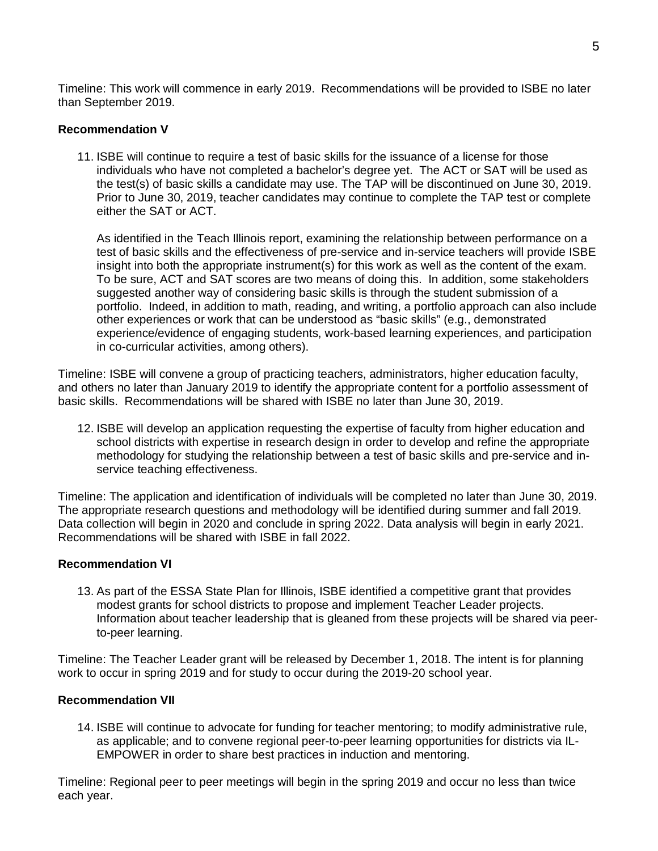Timeline: This work will commence in early 2019. Recommendations will be provided to ISBE no later than September 2019.

#### **Recommendation V**

11. ISBE will continue to require a test of basic skills for the issuance of a license for those individuals who have not completed a bachelor's degree yet. The ACT or SAT will be used as the test(s) of basic skills a candidate may use. The TAP will be discontinued on June 30, 2019. Prior to June 30, 2019, teacher candidates may continue to complete the TAP test or complete either the SAT or ACT.

As identified in the Teach Illinois report, examining the relationship between performance on a test of basic skills and the effectiveness of pre-service and in-service teachers will provide ISBE insight into both the appropriate instrument(s) for this work as well as the content of the exam. To be sure, ACT and SAT scores are two means of doing this. In addition, some stakeholders suggested another way of considering basic skills is through the student submission of a portfolio. Indeed, in addition to math, reading, and writing, a portfolio approach can also include other experiences or work that can be understood as "basic skills" (e.g., demonstrated experience/evidence of engaging students, work-based learning experiences, and participation in co-curricular activities, among others).

Timeline: ISBE will convene a group of practicing teachers, administrators, higher education faculty, and others no later than January 2019 to identify the appropriate content for a portfolio assessment of basic skills. Recommendations will be shared with ISBE no later than June 30, 2019.

12. ISBE will develop an application requesting the expertise of faculty from higher education and school districts with expertise in research design in order to develop and refine the appropriate methodology for studying the relationship between a test of basic skills and pre-service and inservice teaching effectiveness.

Timeline: The application and identification of individuals will be completed no later than June 30, 2019. The appropriate research questions and methodology will be identified during summer and fall 2019. Data collection will begin in 2020 and conclude in spring 2022. Data analysis will begin in early 2021. Recommendations will be shared with ISBE in fall 2022.

## **Recommendation VI**

13. As part of the ESSA State Plan for Illinois, ISBE identified a competitive grant that provides modest grants for school districts to propose and implement Teacher Leader projects. Information about teacher leadership that is gleaned from these projects will be shared via peerto-peer learning.

Timeline: The Teacher Leader grant will be released by December 1, 2018. The intent is for planning work to occur in spring 2019 and for study to occur during the 2019-20 school year.

#### **Recommendation VII**

14. ISBE will continue to advocate for funding for teacher mentoring; to modify administrative rule, as applicable; and to convene regional peer-to-peer learning opportunities for districts via IL-EMPOWER in order to share best practices in induction and mentoring.

Timeline: Regional peer to peer meetings will begin in the spring 2019 and occur no less than twice each year.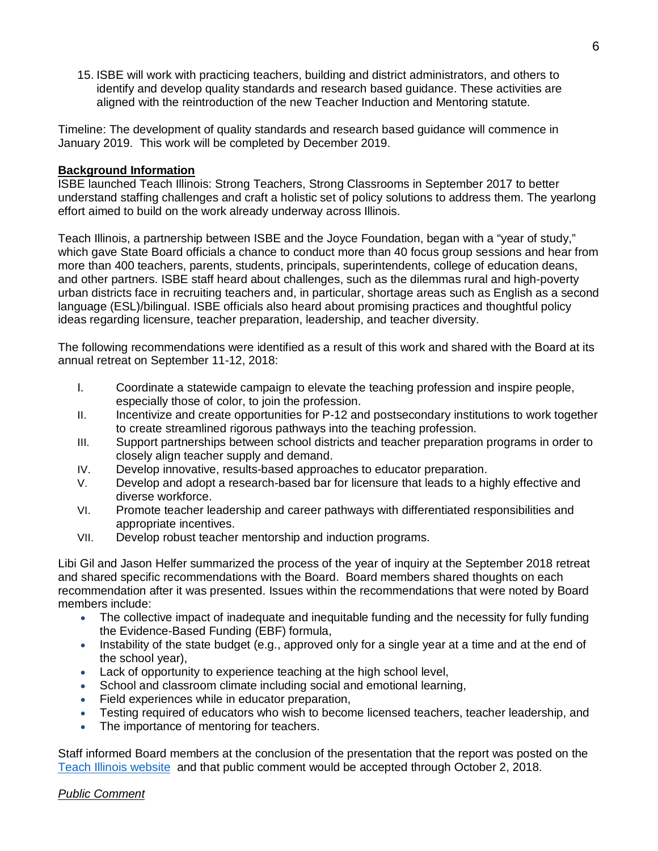15. ISBE will work with practicing teachers, building and district administrators, and others to identify and develop quality standards and research based guidance. These activities are aligned with the reintroduction of the new Teacher Induction and Mentoring statute.

Timeline: The development of quality standards and research based guidance will commence in January 2019. This work will be completed by December 2019.

#### **Background Information**

ISBE launched Teach Illinois: Strong Teachers, Strong Classrooms in September 2017 to better understand staffing challenges and craft a holistic set of policy solutions to address them. The yearlong effort aimed to build on the work already underway across Illinois.

Teach Illinois, a partnership between ISBE and the Joyce Foundation, began with a "year of study," which gave State Board officials a chance to conduct more than 40 focus group sessions and hear from more than 400 teachers, parents, students, principals, superintendents, college of education deans, and other partners. ISBE staff heard about challenges, such as the dilemmas rural and high-poverty urban districts face in recruiting teachers and, in particular, shortage areas such as English as a second language (ESL)/bilingual. ISBE officials also heard about promising practices and thoughtful policy ideas regarding licensure, teacher preparation, leadership, and teacher diversity.

The following recommendations were identified as a result of this work and shared with the Board at its annual retreat on September 11-12, 2018:

- I. Coordinate a statewide campaign to elevate the teaching profession and inspire people, especially those of color, to join the profession.
- II. Incentivize and create opportunities for P-12 and postsecondary institutions to work together to create streamlined rigorous pathways into the teaching profession.
- III. Support partnerships between school districts and teacher preparation programs in order to closely align teacher supply and demand.
- IV. Develop innovative, results-based approaches to educator preparation.
- V. Develop and adopt a research-based bar for licensure that leads to a highly effective and diverse workforce.
- VI. Promote teacher leadership and career pathways with differentiated responsibilities and appropriate incentives.
- VII. Develop robust teacher mentorship and induction programs.

Libi Gil and Jason Helfer summarized the process of the year of inquiry at the September 2018 retreat and shared specific recommendations with the Board. Board members shared thoughts on each recommendation after it was presented. Issues within the recommendations that were noted by Board members include:

- The collective impact of inadequate and inequitable funding and the necessity for fully funding the Evidence-Based Funding (EBF) formula,
- Instability of the state budget (e.g., approved only for a single year at a time and at the end of the school year),
- Lack of opportunity to experience teaching at the high school level,
- School and classroom climate including social and emotional learning,
- Field experiences while in educator preparation,
- Testing required of educators who wish to become licensed teachers, teacher leadership, and
- The importance of mentoring for teachers.

Staff informed Board members at the conclusion of the presentation that the report was posted on the [Teach Illinois website](https://www.isbe.net/teachillinois) and that public comment would be accepted through October 2, 2018.

## *Public Comment*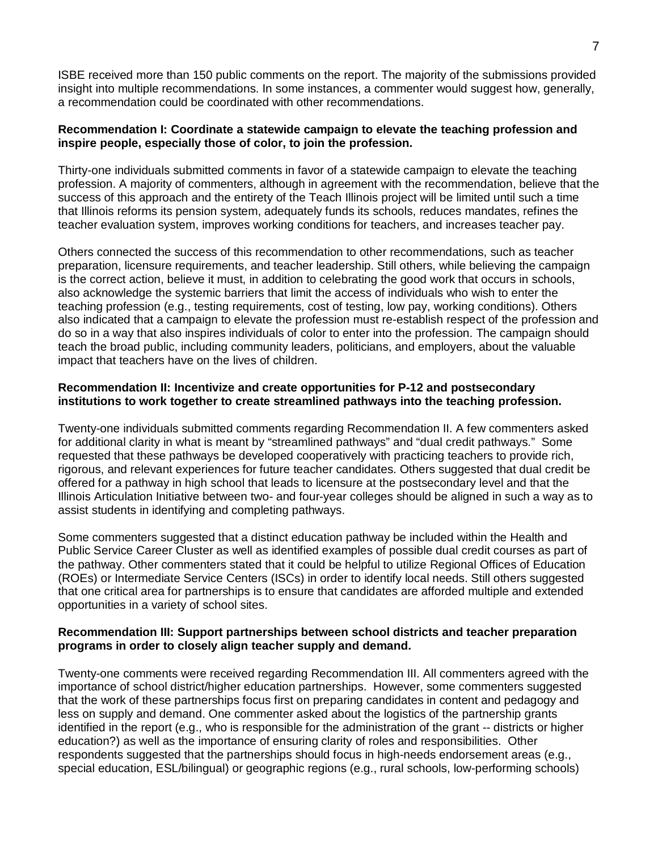ISBE received more than 150 public comments on the report. The majority of the submissions provided insight into multiple recommendations. In some instances, a commenter would suggest how, generally, a recommendation could be coordinated with other recommendations.

## **Recommendation I: Coordinate a statewide campaign to elevate the teaching profession and inspire people, especially those of color, to join the profession.**

Thirty-one individuals submitted comments in favor of a statewide campaign to elevate the teaching profession. A majority of commenters, although in agreement with the recommendation, believe that the success of this approach and the entirety of the Teach Illinois project will be limited until such a time that Illinois reforms its pension system, adequately funds its schools, reduces mandates, refines the teacher evaluation system, improves working conditions for teachers, and increases teacher pay.

Others connected the success of this recommendation to other recommendations, such as teacher preparation, licensure requirements, and teacher leadership. Still others, while believing the campaign is the correct action, believe it must, in addition to celebrating the good work that occurs in schools, also acknowledge the systemic barriers that limit the access of individuals who wish to enter the teaching profession (e.g., testing requirements, cost of testing, low pay, working conditions). Others also indicated that a campaign to elevate the profession must re-establish respect of the profession and do so in a way that also inspires individuals of color to enter into the profession. The campaign should teach the broad public, including community leaders, politicians, and employers, about the valuable impact that teachers have on the lives of children.

## **Recommendation II: Incentivize and create opportunities for P-12 and postsecondary institutions to work together to create streamlined pathways into the teaching profession.**

Twenty-one individuals submitted comments regarding Recommendation II. A few commenters asked for additional clarity in what is meant by "streamlined pathways" and "dual credit pathways." Some requested that these pathways be developed cooperatively with practicing teachers to provide rich, rigorous, and relevant experiences for future teacher candidates. Others suggested that dual credit be offered for a pathway in high school that leads to licensure at the postsecondary level and that the Illinois Articulation Initiative between two- and four-year colleges should be aligned in such a way as to assist students in identifying and completing pathways.

Some commenters suggested that a distinct education pathway be included within the Health and Public Service Career Cluster as well as identified examples of possible dual credit courses as part of the pathway. Other commenters stated that it could be helpful to utilize Regional Offices of Education (ROEs) or Intermediate Service Centers (ISCs) in order to identify local needs. Still others suggested that one critical area for partnerships is to ensure that candidates are afforded multiple and extended opportunities in a variety of school sites.

#### **Recommendation III: Support partnerships between school districts and teacher preparation programs in order to closely align teacher supply and demand.**

Twenty-one comments were received regarding Recommendation III. All commenters agreed with the importance of school district/higher education partnerships. However, some commenters suggested that the work of these partnerships focus first on preparing candidates in content and pedagogy and less on supply and demand. One commenter asked about the logistics of the partnership grants identified in the report (e.g., who is responsible for the administration of the grant -- districts or higher education?) as well as the importance of ensuring clarity of roles and responsibilities. Other respondents suggested that the partnerships should focus in high-needs endorsement areas (e.g., special education, ESL/bilingual) or geographic regions (e.g., rural schools, low-performing schools)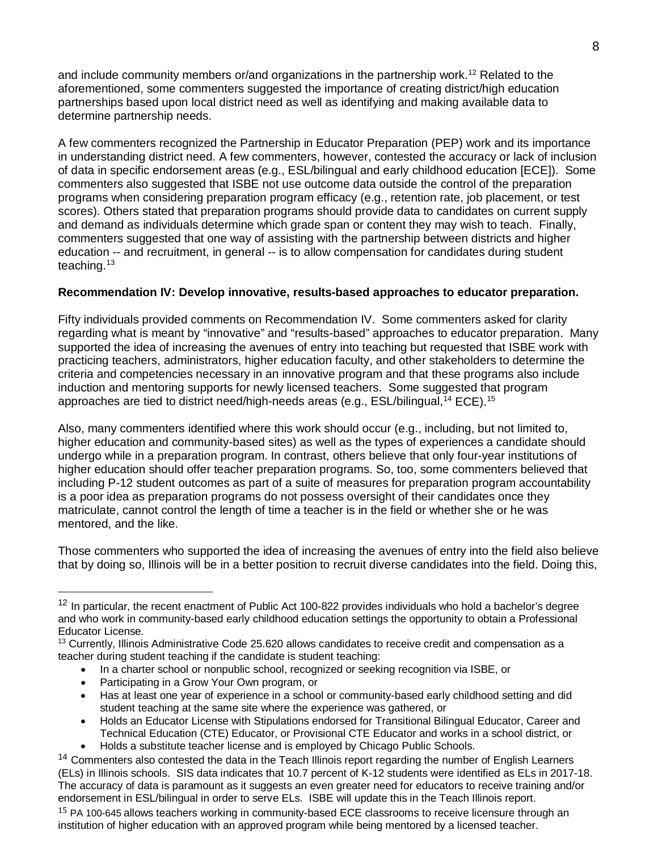and include community members or/and organizations in the partnership work.<sup>[12](#page-7-0)</sup> Related to the aforementioned, some commenters suggested the importance of creating district/high education partnerships based upon local district need as well as identifying and making available data to determine partnership needs.

A few commenters recognized the Partnership in Educator Preparation (PEP) work and its importance in understanding district need. A few commenters, however, contested the accuracy or lack of inclusion of data in specific endorsement areas (e.g., ESL/bilingual and early childhood education [ECE]). Some commenters also suggested that ISBE not use outcome data outside the control of the preparation programs when considering preparation program efficacy (e.g., retention rate, job placement, or test scores). Others stated that preparation programs should provide data to candidates on current supply and demand as individuals determine which grade span or content they may wish to teach. Finally, commenters suggested that one way of assisting with the partnership between districts and higher education -- and recruitment, in general -- is to allow compensation for candidates during student teaching.[13](#page-7-1)

# **Recommendation IV: Develop innovative, results-based approaches to educator preparation.**

Fifty individuals provided comments on Recommendation IV. Some commenters asked for clarity regarding what is meant by "innovative" and "results-based" approaches to educator preparation. Many supported the idea of increasing the avenues of entry into teaching but requested that ISBE work with practicing teachers, administrators, higher education faculty, and other stakeholders to determine the criteria and competencies necessary in an innovative program and that these programs also include induction and mentoring supports for newly licensed teachers. Some suggested that program approaches are tied to district need/high-needs areas (e.g.,  $ESL/b$ ilingual,  $^{14}$  $^{14}$  $^{14}$  ECE).  $^{15}$ 

Also, many commenters identified where this work should occur (e.g., including, but not limited to, higher education and community-based sites) as well as the types of experiences a candidate should undergo while in a preparation program. In contrast, others believe that only four-year institutions of higher education should offer teacher preparation programs. So, too, some commenters believed that including P-12 student outcomes as part of a suite of measures for preparation program accountability is a poor idea as preparation programs do not possess oversight of their candidates once they matriculate, cannot control the length of time a teacher is in the field or whether she or he was mentored, and the like.

Those commenters who supported the idea of increasing the avenues of entry into the field also believe that by doing so, Illinois will be in a better position to recruit diverse candidates into the field. Doing this,

- In a charter school or nonpublic school, recognized or seeking recognition via ISBE, or
- Participating in a Grow Your Own program, or
- Has at least one year of experience in a school or community-based early childhood setting and did student teaching at the same site where the experience was gathered, or
- Holds an Educator License with Stipulations endorsed for Transitional Bilingual Educator, Career and Technical Education (CTE) Educator, or Provisional CTE Educator and works in a school district, or • Holds a substitute teacher license and is employed by Chicago Public Schools.

<span id="page-7-0"></span> $12$  In particular, the recent enactment of Public Act 100-822 provides individuals who hold a bachelor's degree and who work in community-based early childhood education settings the opportunity to obtain a Professional Educator License.

<span id="page-7-1"></span><sup>&</sup>lt;sup>13</sup> Currently, Illinois Administrative Code 25.620 allows candidates to receive credit and compensation as a teacher during student teaching if the candidate is student teaching:

<span id="page-7-3"></span><span id="page-7-2"></span><sup>&</sup>lt;sup>14</sup> Commenters also contested the data in the Teach Illinois report regarding the number of English Learners (ELs) in Illinois schools. SIS data indicates that 10.7 percent of K-12 students were identified as ELs in 2017-18. The accuracy of data is paramount as it suggests an even greater need for educators to receive training and/or endorsement in ESL/bilingual in order to serve ELs. ISBE will update this in the Teach Illinois report. <sup>15</sup> PA 100-645 allows teachers working in community-based ECE classrooms to receive licensure through an institution of higher education with an approved program while being mentored by a licensed teacher.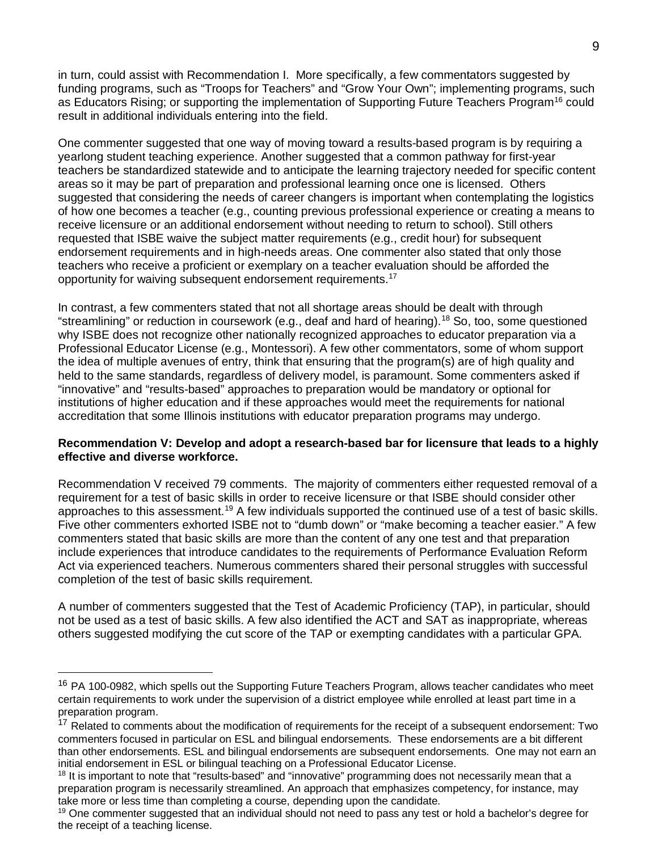in turn, could assist with Recommendation I. More specifically, a few commentators suggested by funding programs, such as "Troops for Teachers" and "Grow Your Own"; implementing programs, such as Educators Rising; or supporting the implementation of Supporting Future Teachers Program<sup>[16](#page-8-0)</sup> could result in additional individuals entering into the field.

One commenter suggested that one way of moving toward a results-based program is by requiring a yearlong student teaching experience. Another suggested that a common pathway for first-year teachers be standardized statewide and to anticipate the learning trajectory needed for specific content areas so it may be part of preparation and professional learning once one is licensed. Others suggested that considering the needs of career changers is important when contemplating the logistics of how one becomes a teacher (e.g., counting previous professional experience or creating a means to receive licensure or an additional endorsement without needing to return to school). Still others requested that ISBE waive the subject matter requirements (e.g., credit hour) for subsequent endorsement requirements and in high-needs areas. One commenter also stated that only those teachers who receive a proficient or exemplary on a teacher evaluation should be afforded the opportunity for waiving subsequent endorsement requirements.[17](#page-8-1)

In contrast, a few commenters stated that not all shortage areas should be dealt with through "streamlining" or reduction in coursework (e.g., deaf and hard of hearing).<sup>[18](#page-8-2)</sup> So, too, some questioned why ISBE does not recognize other nationally recognized approaches to educator preparation via a Professional Educator License (e.g., Montessori). A few other commentators, some of whom support the idea of multiple avenues of entry, think that ensuring that the program(s) are of high quality and held to the same standards, regardless of delivery model, is paramount. Some commenters asked if "innovative" and "results-based" approaches to preparation would be mandatory or optional for institutions of higher education and if these approaches would meet the requirements for national accreditation that some Illinois institutions with educator preparation programs may undergo.

#### **Recommendation V: Develop and adopt a research-based bar for licensure that leads to a highly effective and diverse workforce.**

Recommendation V received 79 comments. The majority of commenters either requested removal of a requirement for a test of basic skills in order to receive licensure or that ISBE should consider other approaches to this assessment.<sup>[19](#page-8-3)</sup> A few individuals supported the continued use of a test of basic skills. Five other commenters exhorted ISBE not to "dumb down" or "make becoming a teacher easier." A few commenters stated that basic skills are more than the content of any one test and that preparation include experiences that introduce candidates to the requirements of Performance Evaluation Reform Act via experienced teachers. Numerous commenters shared their personal struggles with successful completion of the test of basic skills requirement.

A number of commenters suggested that the Test of Academic Proficiency (TAP), in particular, should not be used as a test of basic skills. A few also identified the ACT and SAT as inappropriate, whereas others suggested modifying the cut score of the TAP or exempting candidates with a particular GPA.

<span id="page-8-0"></span><sup>&</sup>lt;sup>16</sup> PA 100-0982, which spells out the Supporting Future Teachers Program, allows teacher candidates who meet certain requirements to work under the supervision of a district employee while enrolled at least part time in a preparation program.

<span id="page-8-1"></span><sup>&</sup>lt;sup>17</sup> Related to comments about the modification of requirements for the receipt of a subsequent endorsement: Two commenters focused in particular on ESL and bilingual endorsements. These endorsements are a bit different than other endorsements. ESL and bilingual endorsements are subsequent endorsements. One may not earn an initial endorsement in ESL or bilingual teaching on a Professional Educator License.

<span id="page-8-2"></span><sup>&</sup>lt;sup>18</sup> It is important to note that "results-based" and "innovative" programming does not necessarily mean that a preparation program is necessarily streamlined. An approach that emphasizes competency, for instance, may take more or less time than completing a course, depending upon the candidate.

<span id="page-8-3"></span><sup>&</sup>lt;sup>19</sup> One commenter suggested that an individual should not need to pass any test or hold a bachelor's degree for the receipt of a teaching license.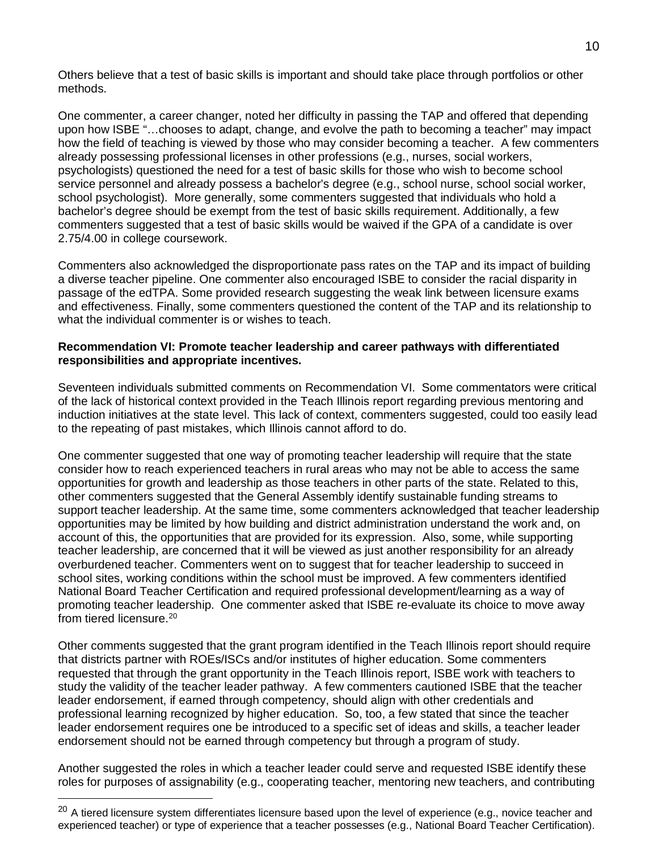Others believe that a test of basic skills is important and should take place through portfolios or other methods.

One commenter, a career changer, noted her difficulty in passing the TAP and offered that depending upon how ISBE "…chooses to adapt, change, and evolve the path to becoming a teacher" may impact how the field of teaching is viewed by those who may consider becoming a teacher. A few commenters already possessing professional licenses in other professions (e.g., nurses, social workers, psychologists) questioned the need for a test of basic skills for those who wish to become school service personnel and already possess a bachelor's degree (e.g., school nurse, school social worker, school psychologist). More generally, some commenters suggested that individuals who hold a bachelor's degree should be exempt from the test of basic skills requirement. Additionally, a few commenters suggested that a test of basic skills would be waived if the GPA of a candidate is over 2.75/4.00 in college coursework.

Commenters also acknowledged the disproportionate pass rates on the TAP and its impact of building a diverse teacher pipeline. One commenter also encouraged ISBE to consider the racial disparity in passage of the edTPA. Some provided research suggesting the weak link between licensure exams and effectiveness. Finally, some commenters questioned the content of the TAP and its relationship to what the individual commenter is or wishes to teach.

#### **Recommendation VI: Promote teacher leadership and career pathways with differentiated responsibilities and appropriate incentives.**

Seventeen individuals submitted comments on Recommendation VI. Some commentators were critical of the lack of historical context provided in the Teach Illinois report regarding previous mentoring and induction initiatives at the state level. This lack of context, commenters suggested, could too easily lead to the repeating of past mistakes, which Illinois cannot afford to do.

One commenter suggested that one way of promoting teacher leadership will require that the state consider how to reach experienced teachers in rural areas who may not be able to access the same opportunities for growth and leadership as those teachers in other parts of the state. Related to this, other commenters suggested that the General Assembly identify sustainable funding streams to support teacher leadership. At the same time, some commenters acknowledged that teacher leadership opportunities may be limited by how building and district administration understand the work and, on account of this, the opportunities that are provided for its expression. Also, some, while supporting teacher leadership, are concerned that it will be viewed as just another responsibility for an already overburdened teacher. Commenters went on to suggest that for teacher leadership to succeed in school sites, working conditions within the school must be improved. A few commenters identified National Board Teacher Certification and required professional development/learning as a way of promoting teacher leadership. One commenter asked that ISBE re-evaluate its choice to move away from tiered licensure.<sup>20</sup>

Other comments suggested that the grant program identified in the Teach Illinois report should require that districts partner with ROEs/ISCs and/or institutes of higher education. Some commenters requested that through the grant opportunity in the Teach Illinois report, ISBE work with teachers to study the validity of the teacher leader pathway. A few commenters cautioned ISBE that the teacher leader endorsement, if earned through competency, should align with other credentials and professional learning recognized by higher education. So, too, a few stated that since the teacher leader endorsement requires one be introduced to a specific set of ideas and skills, a teacher leader endorsement should not be earned through competency but through a program of study.

Another suggested the roles in which a teacher leader could serve and requested ISBE identify these roles for purposes of assignability (e.g., cooperating teacher, mentoring new teachers, and contributing

<span id="page-9-0"></span><sup>&</sup>lt;sup>20</sup> A tiered licensure system differentiates licensure based upon the level of experience (e.g., novice teacher and experienced teacher) or type of experience that a teacher possesses (e.g., National Board Teacher Certification).